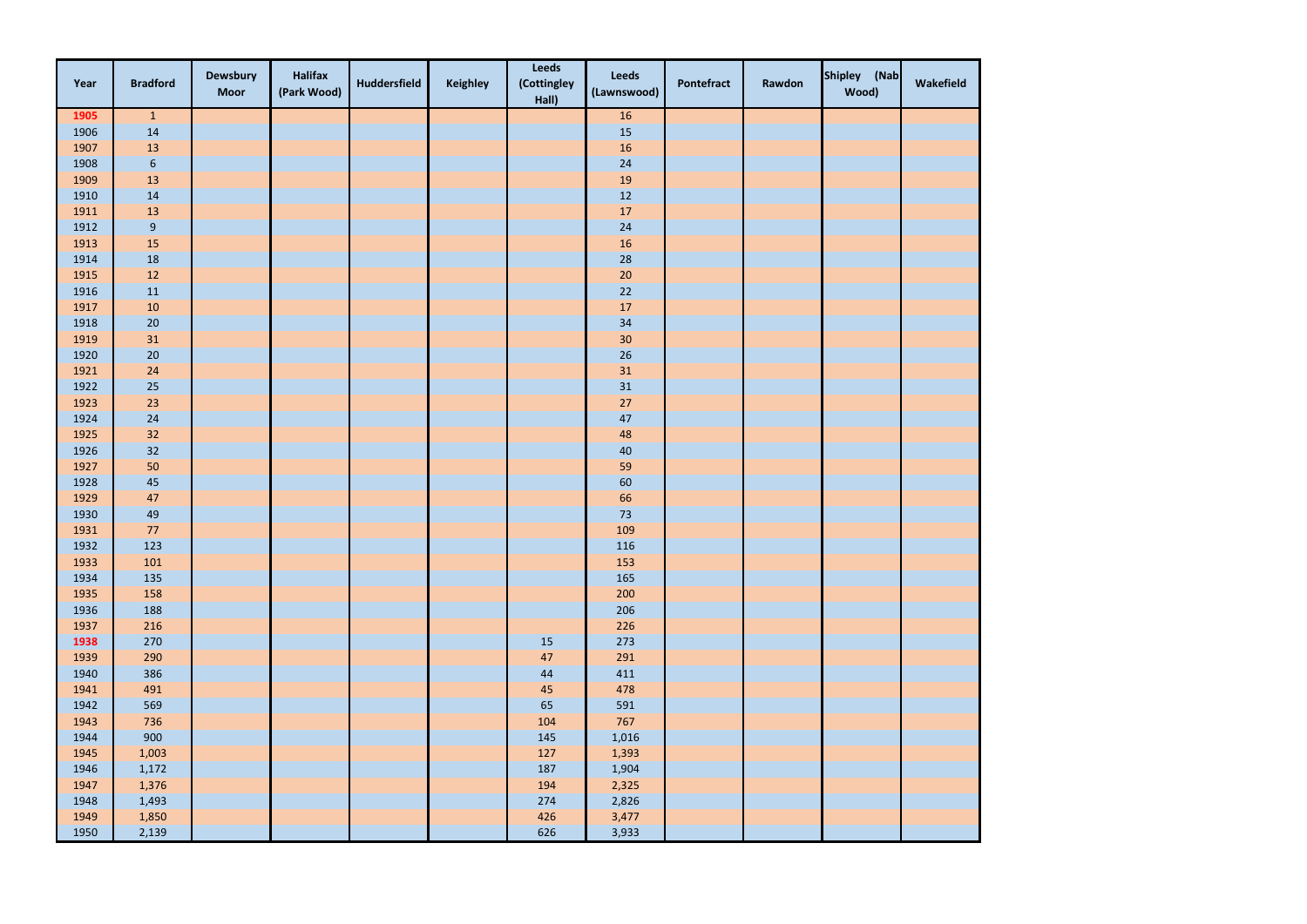| Year | <b>Bradford</b>  | <b>Dewsbury</b><br><b>Moor</b> | <b>Halifax</b><br>(Park Wood) | <b>Huddersfield</b> | <b>Keighley</b> | <b>Leeds</b><br>(Cottingley<br>Hall) | <b>Leeds</b><br>(Lawnswood) | Pontefract | Rawdon | Shipley (Nab<br>Wood) | Wakefield |
|------|------------------|--------------------------------|-------------------------------|---------------------|-----------------|--------------------------------------|-----------------------------|------------|--------|-----------------------|-----------|
| 1905 | $\mathbf{1}$     |                                |                               |                     |                 |                                      | $16\,$                      |            |        |                       |           |
| 1906 | 14               |                                |                               |                     |                 |                                      | 15                          |            |        |                       |           |
| 1907 | 13               |                                |                               |                     |                 |                                      | 16                          |            |        |                       |           |
| 1908 | $\boldsymbol{6}$ |                                |                               |                     |                 |                                      | 24                          |            |        |                       |           |
| 1909 | $13\,$           |                                |                               |                     |                 |                                      | 19                          |            |        |                       |           |
| 1910 | 14               |                                |                               |                     |                 |                                      | $12\,$                      |            |        |                       |           |
| 1911 | $13\,$           |                                |                               |                     |                 |                                      | 17                          |            |        |                       |           |
| 1912 | $\boldsymbol{9}$ |                                |                               |                     |                 |                                      | 24                          |            |        |                       |           |
| 1913 | $15\,$           |                                |                               |                     |                 |                                      | $16\,$                      |            |        |                       |           |
| 1914 | 18               |                                |                               |                     |                 |                                      | 28                          |            |        |                       |           |
| 1915 | 12               |                                |                               |                     |                 |                                      | $20\,$                      |            |        |                       |           |
| 1916 | $11\,$           |                                |                               |                     |                 |                                      | $22$                        |            |        |                       |           |
| 1917 | $10\,$           |                                |                               |                     |                 |                                      | $17\,$                      |            |        |                       |           |
| 1918 | $20\,$           |                                |                               |                     |                 |                                      | 34                          |            |        |                       |           |
| 1919 | 31               |                                |                               |                     |                 |                                      | 30                          |            |        |                       |           |
| 1920 | $20\,$           |                                |                               |                     |                 |                                      | 26                          |            |        |                       |           |
| 1921 | 24               |                                |                               |                     |                 |                                      | 31                          |            |        |                       |           |
| 1922 | $25\,$           |                                |                               |                     |                 |                                      | $31\,$                      |            |        |                       |           |
| 1923 | 23               |                                |                               |                     |                 |                                      | $27$                        |            |        |                       |           |
| 1924 | 24               |                                |                               |                     |                 |                                      | $47\,$                      |            |        |                       |           |
| 1925 | 32               |                                |                               |                     |                 |                                      | 48                          |            |        |                       |           |
| 1926 | 32               |                                |                               |                     |                 |                                      | $40\,$                      |            |        |                       |           |
| 1927 | 50               |                                |                               |                     |                 |                                      | 59                          |            |        |                       |           |
| 1928 | $45\,$           |                                |                               |                     |                 |                                      | 60                          |            |        |                       |           |
| 1929 | 47               |                                |                               |                     |                 |                                      | 66                          |            |        |                       |           |
| 1930 | 49               |                                |                               |                     |                 |                                      | 73                          |            |        |                       |           |
| 1931 | $77\,$           |                                |                               |                     |                 |                                      | 109                         |            |        |                       |           |
| 1932 | 123              |                                |                               |                     |                 |                                      | 116                         |            |        |                       |           |
| 1933 | 101              |                                |                               |                     |                 |                                      | 153                         |            |        |                       |           |
| 1934 | 135              |                                |                               |                     |                 |                                      | 165                         |            |        |                       |           |
| 1935 | 158              |                                |                               |                     |                 |                                      | 200                         |            |        |                       |           |
| 1936 | 188              |                                |                               |                     |                 |                                      | 206                         |            |        |                       |           |
| 1937 | 216              |                                |                               |                     |                 |                                      | 226                         |            |        |                       |           |
| 1938 | 270              |                                |                               |                     |                 | $15\,$                               | 273                         |            |        |                       |           |
| 1939 | 290              |                                |                               |                     |                 | $47\,$                               | 291                         |            |        |                       |           |
| 1940 | 386              |                                |                               |                     |                 | $44\,$                               | 411                         |            |        |                       |           |
| 1941 | 491              |                                |                               |                     |                 | $45\,$                               | 478                         |            |        |                       |           |
| 1942 | 569              |                                |                               |                     |                 | 65                                   | 591                         |            |        |                       |           |
| 1943 | 736              |                                |                               |                     |                 | 104                                  | 767                         |            |        |                       |           |
| 1944 | 900              |                                |                               |                     |                 | 145                                  | 1,016                       |            |        |                       |           |
| 1945 | 1,003            |                                |                               |                     |                 | 127                                  | 1,393                       |            |        |                       |           |
| 1946 | 1,172            |                                |                               |                     |                 | 187                                  | 1,904                       |            |        |                       |           |
| 1947 | 1,376            |                                |                               |                     |                 | 194                                  | 2,325                       |            |        |                       |           |
| 1948 | 1,493            |                                |                               |                     |                 | 274                                  | 2,826                       |            |        |                       |           |
| 1949 | 1,850            |                                |                               |                     |                 | 426                                  | 3,477                       |            |        |                       |           |
| 1950 | 2,139            |                                |                               |                     |                 | 626                                  | 3,933                       |            |        |                       |           |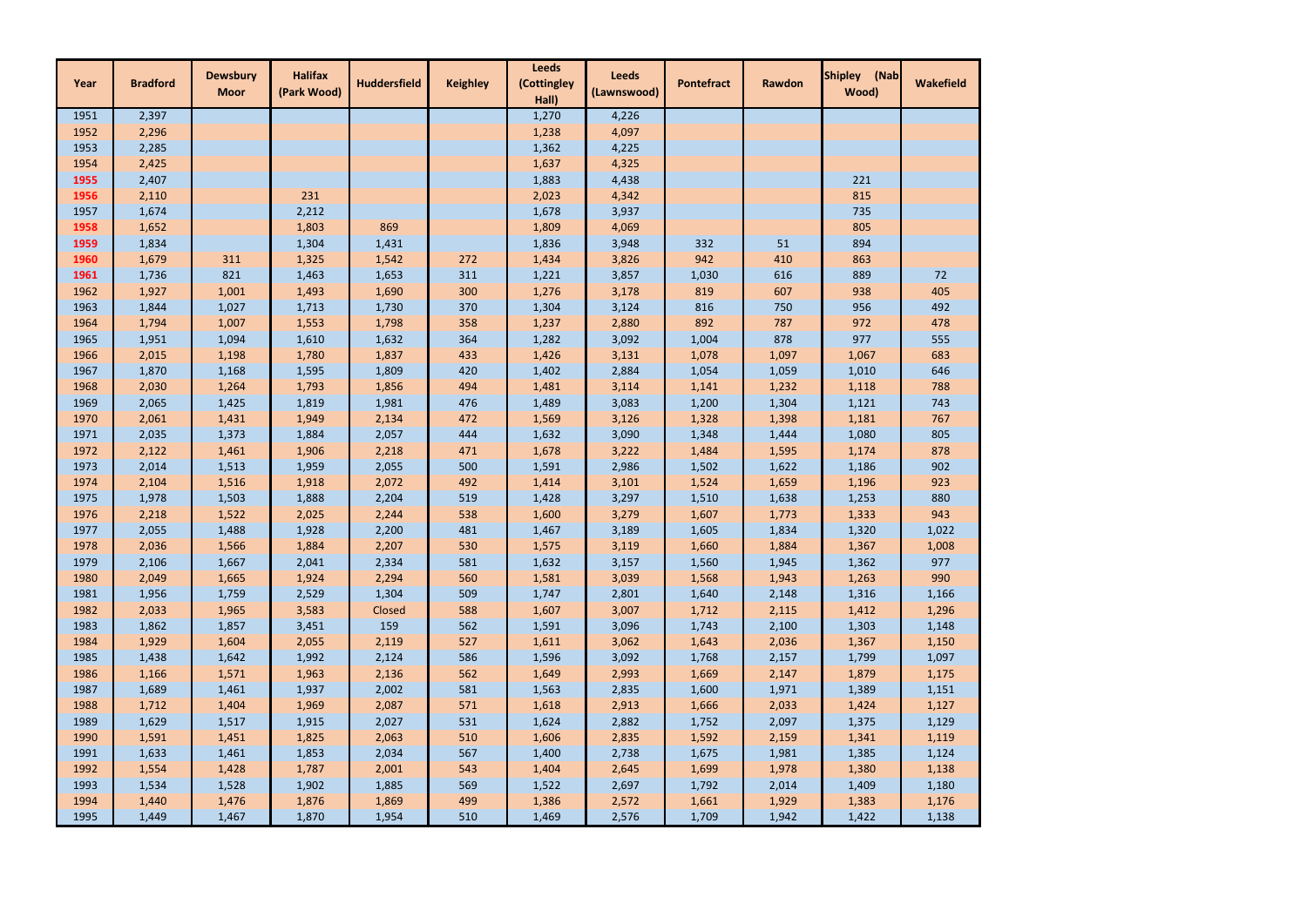| Year | <b>Bradford</b> | <b>Dewsbury</b> | <b>Halifax</b> | <b>Huddersfield</b> | <b>Keighley</b> | <b>Leeds</b><br>(Cottingley | <b>Leeds</b> | <b>Pontefract</b> | <b>Rawdon</b> | <b>Shipley</b><br>(Nab | <b>Wakefield</b> |
|------|-----------------|-----------------|----------------|---------------------|-----------------|-----------------------------|--------------|-------------------|---------------|------------------------|------------------|
|      |                 | <b>Moor</b>     | (Park Wood)    |                     |                 | Hall)                       | (Lawnswood)  |                   |               | Wood)                  |                  |
| 1951 | 2,397           |                 |                |                     |                 | 1,270                       | 4,226        |                   |               |                        |                  |
| 1952 | 2,296           |                 |                |                     |                 | 1,238                       | 4,097        |                   |               |                        |                  |
| 1953 | 2,285           |                 |                |                     |                 | 1,362                       | 4,225        |                   |               |                        |                  |
| 1954 | 2,425           |                 |                |                     |                 | 1,637                       | 4,325        |                   |               |                        |                  |
| 1955 | 2,407           |                 |                |                     |                 | 1,883                       | 4,438        |                   |               | 221                    |                  |
| 1956 | 2,110           |                 | 231            |                     |                 | 2,023                       | 4,342        |                   |               | 815                    |                  |
| 1957 | 1,674           |                 | 2,212          |                     |                 | 1,678                       | 3,937        |                   |               | 735                    |                  |
| 1958 | 1,652           |                 | 1,803          | 869                 |                 | 1,809                       | 4,069        |                   |               | 805                    |                  |
| 1959 | 1,834           |                 | 1,304          | 1,431               |                 | 1,836                       | 3,948        | 332               | 51            | 894                    |                  |
| 1960 | 1,679           | 311             | 1,325          | 1,542               | 272             | 1,434                       | 3,826        | 942               | 410           | 863                    |                  |
| 1961 | 1,736           | 821             | 1,463          | 1,653               | 311             | 1,221                       | 3,857        | 1,030             | 616           | 889                    | 72               |
| 1962 | 1,927           | 1,001           | 1,493          | 1,690               | 300             | 1,276                       | 3,178        | 819               | 607           | 938                    | 405              |
| 1963 | 1,844           | 1,027           | 1,713          | 1,730               | 370             | 1,304                       | 3,124        | 816               | 750           | 956                    | 492              |
| 1964 | 1,794           | 1,007           | 1,553          | 1,798               | 358             | 1,237                       | 2,880        | 892               | 787           | 972                    | 478              |
| 1965 | 1,951           | 1,094           | 1,610          | 1,632               | 364             | 1,282                       | 3,092        | 1,004             | 878           | 977                    | 555              |
| 1966 | 2,015           | 1,198           | 1,780          | 1,837               | 433             | 1,426                       | 3,131        | 1,078             | 1,097         | 1,067                  | 683              |
| 1967 | 1,870           | 1,168           | 1,595          | 1,809               | 420             | 1,402                       | 2,884        | 1,054             | 1,059         | 1,010                  | 646              |
| 1968 | 2,030           | 1,264           | 1,793          | 1,856               | 494             | 1,481                       | 3,114        | 1,141             | 1,232         | 1,118                  | 788              |
| 1969 | 2,065           | 1,425           | 1,819          | 1,981               | 476             | 1,489                       | 3,083        | 1,200             | 1,304         | 1,121                  | 743              |
| 1970 | 2,061           | 1,431           | 1,949          | 2,134               | 472             | 1,569                       | 3,126        | 1,328             | 1,398         | 1,181                  | 767              |
| 1971 | 2,035           | 1,373           | 1,884          | 2,057               | 444             | 1,632                       | 3,090        | 1,348             | 1,444         | 1,080                  | 805              |
| 1972 | 2,122           | 1,461           | 1,906          | 2,218               | 471             | 1,678                       | 3,222        | 1,484             | 1,595         | 1,174                  | 878              |
| 1973 | 2,014           | 1,513           | 1,959          | 2,055               | 500             | 1,591                       | 2,986        | 1,502             | 1,622         | 1,186                  | 902              |
| 1974 | 2,104           | 1,516           | 1,918          | 2,072               | 492             | 1,414                       | 3,101        | 1,524             | 1,659         | 1,196                  | 923              |
| 1975 | 1,978           | 1,503           | 1,888          | 2,204               | 519             | 1,428                       | 3,297        | 1,510             | 1,638         | 1,253                  | 880              |
| 1976 | 2,218           | 1,522           | 2,025          | 2,244               | 538             | 1,600                       | 3,279        | 1,607             | 1,773         | 1,333                  | 943              |
| 1977 | 2,055           | 1,488           | 1,928          | 2,200               | 481             | 1,467                       | 3,189        | 1,605             | 1,834         | 1,320                  | 1,022            |
| 1978 | 2,036           | 1,566           | 1,884          | 2,207               | 530             | 1,575                       | 3,119        | 1,660             | 1,884         | 1,367                  | 1,008            |
| 1979 | 2,106           | 1,667           | 2,041          | 2,334               | 581             | 1,632                       | 3,157        | 1,560             | 1,945         | 1,362                  | 977              |
| 1980 | 2,049           | 1,665           | 1,924          | 2,294               | 560             | 1,581                       | 3,039        | 1,568             | 1,943         | 1,263                  | 990              |
| 1981 | 1,956           | 1,759           | 2,529          | 1,304               | 509             | 1,747                       | 2,801        | 1,640             | 2,148         | 1,316                  | 1,166            |
| 1982 | 2,033           | 1,965           | 3,583          | Closed              | 588             | 1,607                       | 3,007        | 1,712             | 2,115         | 1,412                  | 1,296            |
| 1983 | 1,862           | 1,857           | 3,451          | 159                 | 562             | 1,591                       | 3,096        | 1,743             | 2,100         | 1,303                  | 1,148            |
| 1984 | 1,929           | 1,604           | 2,055          | 2,119               | 527             | 1,611                       | 3,062        | 1,643             | 2,036         | 1,367                  | 1,150            |
| 1985 | 1,438           | 1,642           | 1,992          | 2,124               | 586             | 1,596                       | 3,092        | 1,768             | 2,157         | 1,799                  | 1,097            |
| 1986 | 1,166           | 1,571           | 1,963          | 2,136               | 562             | 1,649                       | 2,993        | 1,669             | 2,147         | 1,879                  | 1,175            |
| 1987 | 1,689           | 1,461           | 1,937          | 2,002               | 581             | 1,563                       | 2,835        | 1,600             | 1,971         | 1,389                  | 1,151            |
| 1988 | 1,712           | 1,404           | 1,969          | 2,087               | 571             | 1,618                       | 2,913        | 1,666             | 2,033         | 1,424                  | 1,127            |
| 1989 | 1,629           | 1,517           | 1,915          | 2,027               | 531             | 1,624                       | 2,882        | 1,752             | 2,097         | 1,375                  | 1,129            |
| 1990 | 1,591           | 1,451           | 1,825          | 2,063               | 510             | 1,606                       | 2,835        | 1,592             | 2,159         | 1,341                  | 1,119            |
| 1991 | 1,633           | 1,461           | 1,853          | 2,034               | 567             | 1,400                       | 2,738        | 1,675             | 1,981         | 1,385                  | 1,124            |
| 1992 | 1,554           | 1,428           | 1,787          | 2,001               | 543             | 1,404                       | 2,645        | 1,699             | 1,978         | 1,380                  | 1,138            |
| 1993 | 1,534           | 1,528           | 1,902          | 1,885               | 569             | 1,522                       | 2,697        | 1,792             | 2,014         | 1,409                  | 1,180            |
| 1994 | 1,440           | 1,476           | 1,876          | 1,869               | 499             | 1,386                       | 2,572        | 1,661             | 1,929         | 1,383                  | 1,176            |
| 1995 | 1,449           | 1,467           | 1,870          | 1,954               | 510             | 1,469                       | 2,576        | 1,709             | 1,942         | 1,422                  | 1,138            |